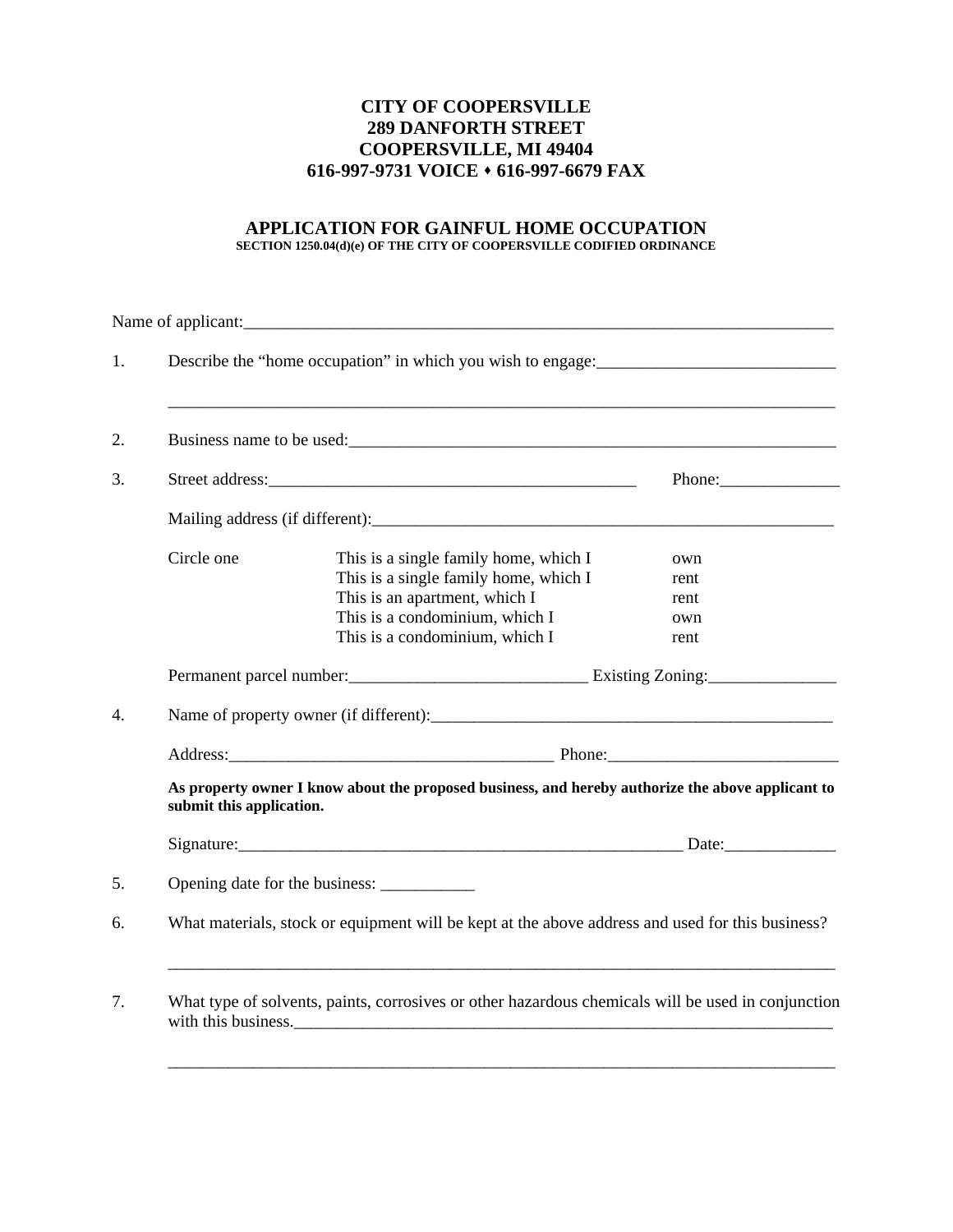## **CITY OF COOPERSVILLE 289 DANFORTH STREET COOPERSVILLE, MI 49404 616-997-9731 VOICE** ! **616-997-6679 FAX**

## **APPLICATION FOR GAINFUL HOME OCCUPATION SECTION 1250.04(d)(e) OF THE CITY OF COOPERSVILLE CODIFIED ORDINANCE**

| 1. |                                                                                                                               |                                                                                                                                                                                                                                |                                    |  |  |  |  |
|----|-------------------------------------------------------------------------------------------------------------------------------|--------------------------------------------------------------------------------------------------------------------------------------------------------------------------------------------------------------------------------|------------------------------------|--|--|--|--|
| 2. | Business name to be used:                                                                                                     |                                                                                                                                                                                                                                |                                    |  |  |  |  |
| 3. |                                                                                                                               |                                                                                                                                                                                                                                |                                    |  |  |  |  |
|    |                                                                                                                               |                                                                                                                                                                                                                                |                                    |  |  |  |  |
|    | Circle one                                                                                                                    | This is a single family home, which I<br>This is a single family home, which I<br>This is an apartment, which I<br>This is a condominium, which I<br>This is a condominium, which I                                            | own<br>rent<br>rent<br>own<br>rent |  |  |  |  |
|    |                                                                                                                               |                                                                                                                                                                                                                                |                                    |  |  |  |  |
| 4. |                                                                                                                               |                                                                                                                                                                                                                                |                                    |  |  |  |  |
|    |                                                                                                                               | Address: Phone: Phone: Phone: Phone: Phone: Phone: Phone: Phone: Phone: Phone: Phone: Phone: Phone: Phone: Phone: Phone: Phone: Phone: Phone: Phone: Phone: Phone: Phone: Phone: Phone: Phone: Phone: Phone: Phone: Phone: Pho |                                    |  |  |  |  |
|    | As property owner I know about the proposed business, and hereby authorize the above applicant to<br>submit this application. |                                                                                                                                                                                                                                |                                    |  |  |  |  |
|    |                                                                                                                               | Signature: Date: Discovery Contact Texas and Date: Date: Date:                                                                                                                                                                 |                                    |  |  |  |  |
| 5. |                                                                                                                               |                                                                                                                                                                                                                                |                                    |  |  |  |  |
| 6. | What materials, stock or equipment will be kept at the above address and used for this business?                              |                                                                                                                                                                                                                                |                                    |  |  |  |  |
| 7. | What type of solvents, paints, corrosives or other hazardous chemicals will be used in conjunction<br>with this business.     |                                                                                                                                                                                                                                |                                    |  |  |  |  |
|    |                                                                                                                               |                                                                                                                                                                                                                                |                                    |  |  |  |  |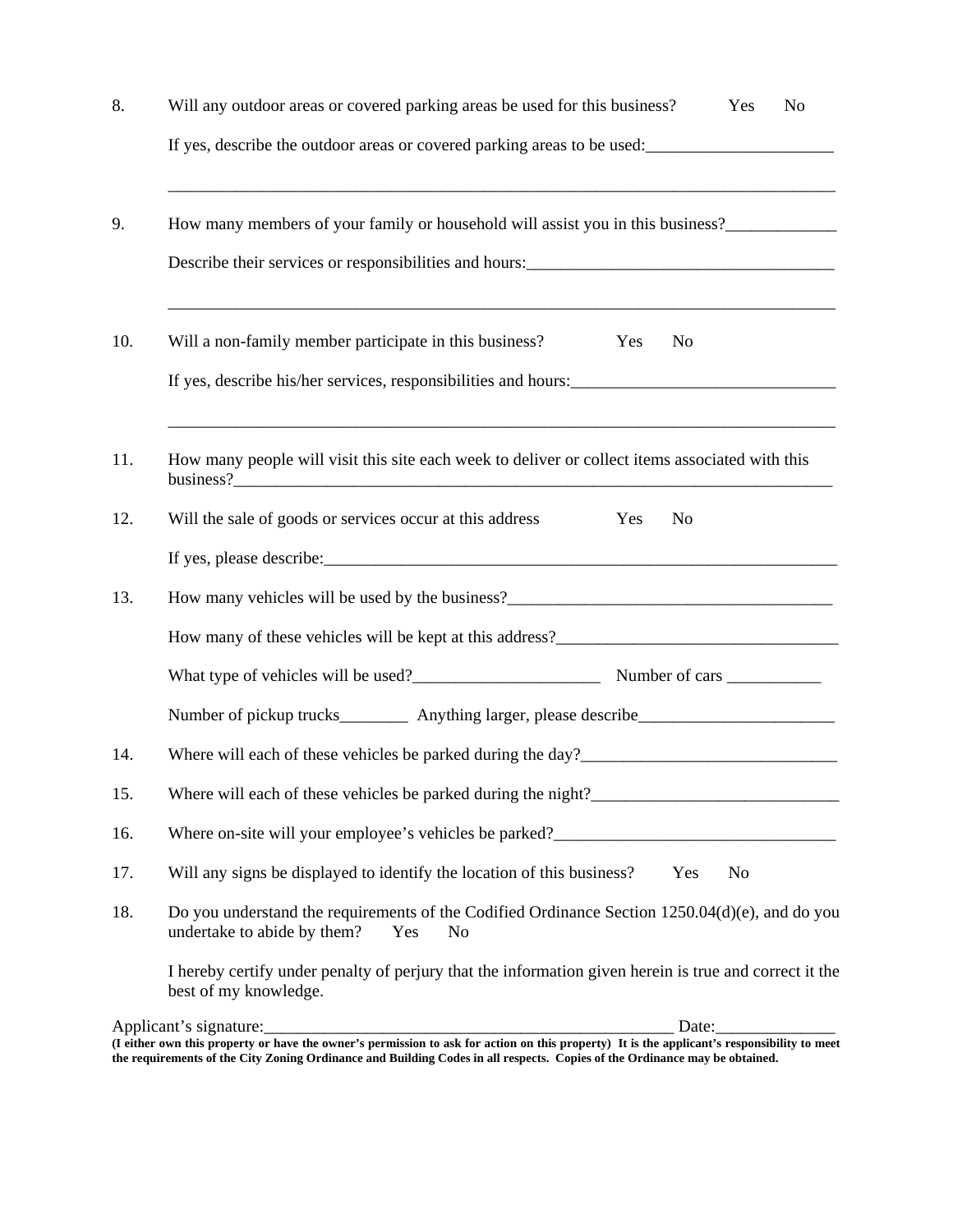| 8.  | Will any outdoor areas or covered parking areas be used for this business?<br>Yes<br>No                                                                |  |  |  |  |  |  |  |
|-----|--------------------------------------------------------------------------------------------------------------------------------------------------------|--|--|--|--|--|--|--|
|     | If yes, describe the outdoor areas or covered parking areas to be used:                                                                                |  |  |  |  |  |  |  |
| 9.  | How many members of your family or household will assist you in this business?______________________                                                   |  |  |  |  |  |  |  |
|     | Describe their services or responsibilities and hours:<br><u>Les contracts</u>                                                                         |  |  |  |  |  |  |  |
| 10. | Will a non-family member participate in this business?<br>Yes<br>No                                                                                    |  |  |  |  |  |  |  |
|     | If yes, describe his/her services, responsibilities and hours:                                                                                         |  |  |  |  |  |  |  |
| 11. | How many people will visit this site each week to deliver or collect items associated with this                                                        |  |  |  |  |  |  |  |
| 12. | Will the sale of goods or services occur at this address<br>Yes<br>N <sub>o</sub>                                                                      |  |  |  |  |  |  |  |
|     |                                                                                                                                                        |  |  |  |  |  |  |  |
| 13. |                                                                                                                                                        |  |  |  |  |  |  |  |
|     |                                                                                                                                                        |  |  |  |  |  |  |  |
|     |                                                                                                                                                        |  |  |  |  |  |  |  |
|     | Number of pickup trucks___________ Anything larger, please describe_________________________________                                                   |  |  |  |  |  |  |  |
| 14. | Where will each of these vehicles be parked during the day?______________________                                                                      |  |  |  |  |  |  |  |
| 15. |                                                                                                                                                        |  |  |  |  |  |  |  |
| 16. | Where on-site will your employee's vehicles be parked?<br><u>Letting</u> and the parked?                                                               |  |  |  |  |  |  |  |
| 17. | Will any signs be displayed to identify the location of this business?<br>Yes<br>N <sub>o</sub>                                                        |  |  |  |  |  |  |  |
| 18. | Do you understand the requirements of the Codified Ordinance Section 1250.04(d)(e), and do you<br>undertake to abide by them?<br>Yes<br>N <sub>o</sub> |  |  |  |  |  |  |  |
|     | I hereby certify under penalty of perjury that the information given herein is true and correct it the<br>best of my knowledge.                        |  |  |  |  |  |  |  |
|     |                                                                                                                                                        |  |  |  |  |  |  |  |

**<sup>(</sup>I either own this property or have the owner's permission to ask for action on this property) It is the applicant's responsibility to meet the requirements of the City Zoning Ordinance and Building Codes in all respects. Copies of the Ordinance may be obtained.**